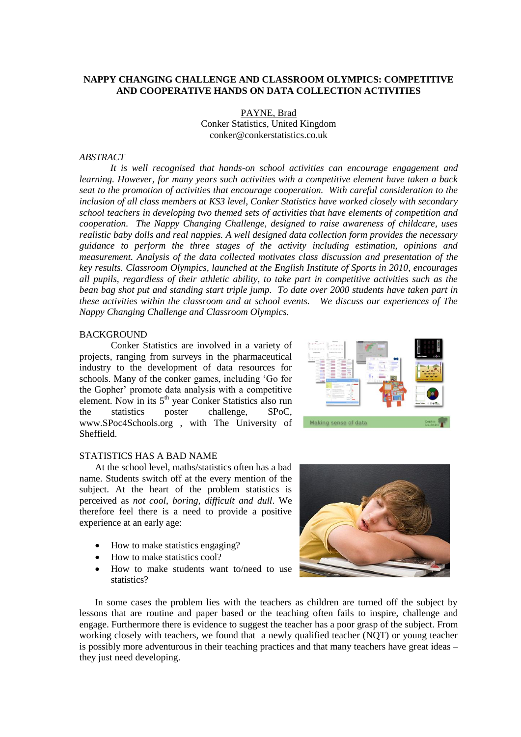# **NAPPY CHANGING CHALLENGE AND CLASSROOM OLYMPICS: COMPETITIVE AND COOPERATIVE HANDS ON DATA COLLECTION ACTIVITIES**

PAYNE, Brad Conker Statistics, United Kingdom conker@conkerstatistics.co.uk

#### *ABSTRACT*

*It is well recognised that hands-on school activities can encourage engagement and learning. However, for many years such activities with a competitive element have taken a back seat to the promotion of activities that encourage cooperation. With careful consideration to the inclusion of all class members at KS3 level, Conker Statistics have worked closely with secondary school teachers in developing two themed sets of activities that have elements of competition and cooperation. The Nappy Changing Challenge, designed to raise awareness of childcare, uses realistic baby dolls and real nappies. A well designed data collection form provides the necessary guidance to perform the three stages of the activity including estimation, opinions and measurement. Analysis of the data collected motivates class discussion and presentation of the key results. Classroom Olympics, launched at the English Institute of Sports in 2010, encourages all pupils, regardless of their athletic ability, to take part in competitive activities such as the bean bag shot put and standing start triple jump. To date over 2000 students have taken part in these activities within the classroom and at school events. We discuss our experiences of The Nappy Changing Challenge and Classroom Olympics.* 

#### **BACKGROUND**

Conker Statistics are involved in a variety of projects, ranging from surveys in the pharmaceutical industry to the development of data resources for schools. Many of the conker games, including 'Go for the Gopher' promote data analysis with a competitive element. Now in its 5<sup>th</sup> year Conker Statistics also run the statistics poster challenge, SPoC, www.SPoc4Schools.org , with The University of Sheffield.



## STATISTICS HAS A BAD NAME

At the school level, maths/statistics often has a bad name. Students switch off at the every mention of the subject. At the heart of the problem statistics is perceived as *not cool*, *boring, difficult and dull*. We therefore feel there is a need to provide a positive experience at an early age:

- How to make statistics engaging?
- How to make statistics cool?
- How to make students want to/need to use statistics?



In some cases the problem lies with the teachers as children are turned off the subject by lessons that are routine and paper based or the teaching often fails to inspire, challenge and engage. Furthermore there is evidence to suggest the teacher has a poor grasp of the subject. From working closely with teachers, we found that a newly qualified teacher (NQT) or young teacher is possibly more adventurous in their teaching practices and that many teachers have great ideas – they just need developing.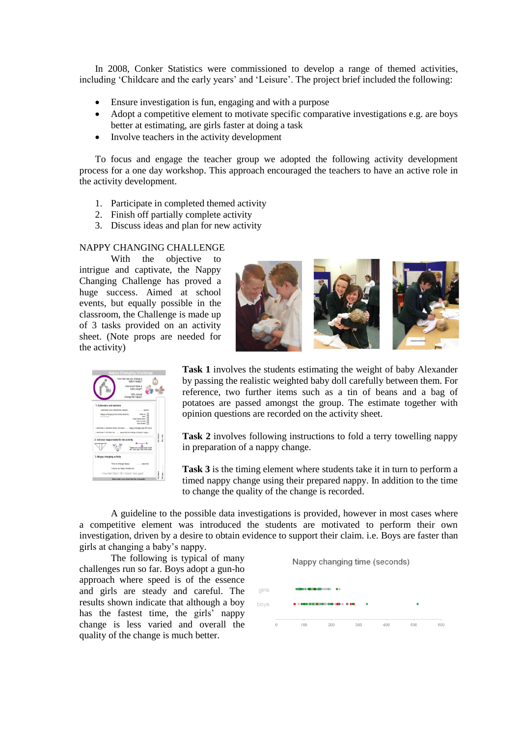In 2008, Conker Statistics were commissioned to develop a range of themed activities, including 'Childcare and the early years' and 'Leisure'. The project brief included the following:

- Ensure investigation is fun, engaging and with a purpose
- Adopt a competitive element to motivate specific comparative investigations e.g. are boys better at estimating, are girls faster at doing a task
- Involve teachers in the activity development

To focus and engage the teacher group we adopted the following activity development process for a one day workshop. This approach encouraged the teachers to have an active role in the activity development.

- 1. Participate in completed themed activity
- 2. Finish off partially complete activity
- 3. Discuss ideas and plan for new activity

# NAPPY CHANGING CHALLENGE

With the objective to intrigue and captivate, the Nappy Changing Challenge has proved a huge success. Aimed at school events, but equally possible in the classroom, the Challenge is made up of 3 tasks provided on an activity sheet. (Note props are needed for the activity)





**Task 1** involves the students estimating the weight of baby Alexander by passing the realistic weighted baby doll carefully between them. For reference, two further items such as a tin of beans and a bag of potatoes are passed amongst the group. The estimate together with opinion questions are recorded on the activity sheet.

**Task 2** involves following instructions to fold a terry towelling nappy in preparation of a nappy change.

**Task 3** is the timing element where students take it in turn to perform a timed nappy change using their prepared nappy. In addition to the time to change the quality of the change is recorded.

A guideline to the possible data investigations is provided, however in most cases where a competitive element was introduced the students are motivated to perform their own investigation, driven by a desire to obtain evidence to support their claim. i.e. Boys are faster than girls at changing a baby's nappy.

The following is typical of many challenges run so far. Boys adopt a gun-ho approach where speed is of the essence and girls are steady and careful. The results shown indicate that although a boy has the fastest time, the girls' nappy change is less varied and overall the quality of the change is much better.

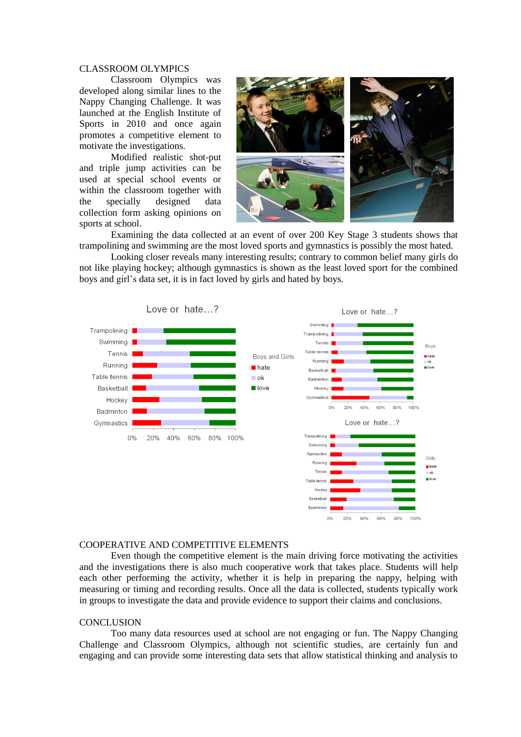### CLASSROOM OLYMPICS

Classroom Olympics was developed along similar lines to the Nappy Changing Challenge. It was launched at the English Institute of Sports in 2010 and once again promotes a competitive element to motivate the investigations.

Modified realistic shot-put and triple jump activities can be used at special school events or within the classroom together with the specially designed data collection form asking opinions on sports at school.



Examining the data collected at an event of over 200 Key Stage 3 students shows that trampolining and swimming are the most loved sports and gymnastics is possibly the most hated.

Looking closer reveals many interesting results; contrary to common belief many girls do not like playing hockey; although gymnastics is shown as the least loved sport for the combined boys and girl's data set, it is in fact loved by girls and hated by boys.



### COOPERATIVE AND COMPETITIVE ELEMENTS

Even though the competitive element is the main driving force motivating the activities and the investigations there is also much cooperative work that takes place. Students will help each other performing the activity, whether it is help in preparing the nappy, helping with measuring or timing and recording results. Once all the data is collected, students typically work in groups to investigate the data and provide evidence to support their claims and conclusions.

## **CONCLUSION**

Too many data resources used at school are not engaging or fun. The Nappy Changing Challenge and Classroom Olympics, although not scientific studies, are certainly fun and engaging and can provide some interesting data sets that allow statistical thinking and analysis to